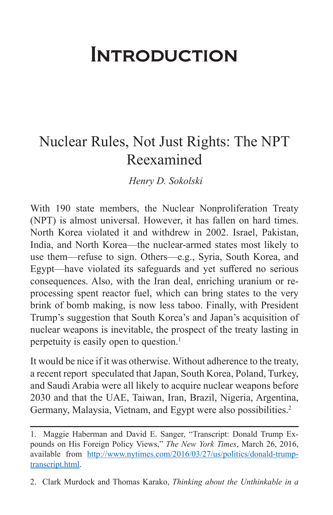## **INTRODUCTION**

## Nuclear Rules, Not Just Rights: The NPT Reexamined

*Henry D. Sokolski*

With 190 state members, the Nuclear Nonproliferation Treaty (NPT) is almost universal. However, it has fallen on hard times. North Korea violated it and withdrew in 2002. Israel, Pakistan, India, and North Korea—the nuclear-armed states most likely to use them—refuse to sign. Others—e.g., Syria, South Korea, and Egypt—have violated its safeguards and yet suffered no serious consequences. Also, with the Iran deal, enriching uranium or reprocessing spent reactor fuel, which can bring states to the very brink of bomb making, is now less taboo. Finally, with President Trump's suggestion that South Korea's and Japan's acquisition of nuclear weapons is inevitable, the prospect of the treaty lasting in perpetuity is easily open to question.1

It would be nice if it was otherwise. Without adherence to the treaty, a recent report speculated that Japan, South Korea, Poland, Turkey, and Saudi Arabia were all likely to acquire nuclear weapons before 2030 and that the UAE, Taiwan, Iran, Brazil, Nigeria, Argentina, Germany, Malaysia, Vietnam, and Egypt were also possibilities.<sup>2</sup>

<sup>1.</sup> Maggie Haberman and David E. Sanger, "Transcript: Donald Trump Expounds on His Foreign Policy Views," *The New York Times*, March 26, 2016, available from [http://www.nytimes.com/2016/03/27/us/politics/donald-trump](http://www.nytimes.com/2016/03/27/us/politics/donald-trump-transcript.html)[transcript.html.](http://www.nytimes.com/2016/03/27/us/politics/donald-trump-transcript.html)

<sup>2.</sup> Clark Murdock and Thomas Karako, *Thinking about the Unthinkable in a*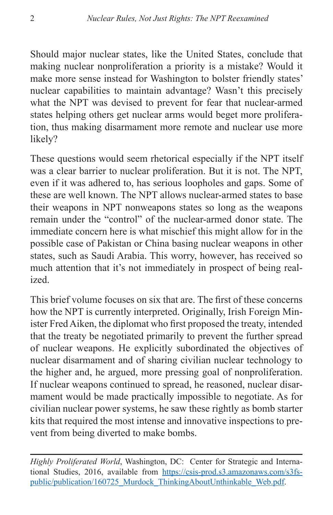Should major nuclear states, like the United States, conclude that making nuclear nonproliferation a priority is a mistake? Would it make more sense instead for Washington to bolster friendly states' nuclear capabilities to maintain advantage? Wasn't this precisely what the NPT was devised to prevent for fear that nuclear-armed states helping others get nuclear arms would beget more proliferation, thus making disarmament more remote and nuclear use more likely?

These questions would seem rhetorical especially if the NPT itself was a clear barrier to nuclear proliferation. But it is not. The NPT, even if it was adhered to, has serious loopholes and gaps. Some of these are well known. The NPT allows nuclear-armed states to base their weapons in NPT nonweapons states so long as the weapons remain under the "control" of the nuclear-armed donor state. The immediate concern here is what mischief this might allow for in the possible case of Pakistan or China basing nuclear weapons in other states, such as Saudi Arabia. This worry, however, has received so much attention that it's not immediately in prospect of being realized.

This brief volume focuses on six that are. The first of these concerns how the NPT is currently interpreted. Originally, Irish Foreign Minister Fred Aiken, the diplomat who first proposed the treaty, intended that the treaty be negotiated primarily to prevent the further spread of nuclear weapons. He explicitly subordinated the objectives of nuclear disarmament and of sharing civilian nuclear technology to the higher and, he argued, more pressing goal of nonproliferation. If nuclear weapons continued to spread, he reasoned, nuclear disarmament would be made practically impossible to negotiate. As for civilian nuclear power systems, he saw these rightly as bomb starter kits that required the most intense and innovative inspections to prevent from being diverted to make bombs.

*Highly Proliferated World*, Washington, DC: Center for Strategic and International Studies, 2016, available from [https://csis-prod.s3.amazonaws.com/s3fs](https://csis-prod.s3.amazonaws.com/s3fs-public/publication/160725_Murdock_ThinkingAboutUnthinkable_Web.pdf)[public/publication/160725\\_Murdock\\_ThinkingAboutUnthinkable\\_Web.pdf](https://csis-prod.s3.amazonaws.com/s3fs-public/publication/160725_Murdock_ThinkingAboutUnthinkable_Web.pdf).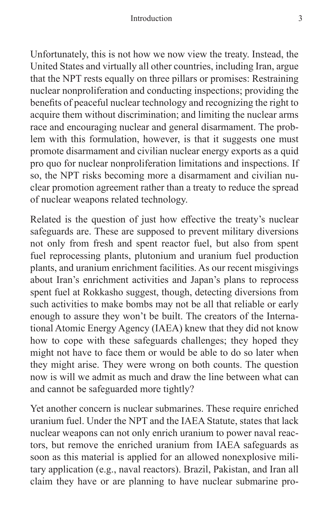Unfortunately, this is not how we now view the treaty. Instead, the United States and virtually all other countries, including Iran, argue that the NPT rests equally on three pillars or promises: Restraining nuclear nonproliferation and conducting inspections; providing the benefits of peaceful nuclear technology and recognizing the right to acquire them without discrimination; and limiting the nuclear arms race and encouraging nuclear and general disarmament. The problem with this formulation, however, is that it suggests one must promote disarmament and civilian nuclear energy exports as a quid pro quo for nuclear nonproliferation limitations and inspections. If so, the NPT risks becoming more a disarmament and civilian nuclear promotion agreement rather than a treaty to reduce the spread of nuclear weapons related technology.

Related is the question of just how effective the treaty's nuclear safeguards are. These are supposed to prevent military diversions not only from fresh and spent reactor fuel, but also from spent fuel reprocessing plants, plutonium and uranium fuel production plants, and uranium enrichment facilities. As our recent misgivings about Iran's enrichment activities and Japan's plans to reprocess spent fuel at Rokkasho suggest, though, detecting diversions from such activities to make bombs may not be all that reliable or early enough to assure they won't be built. The creators of the International Atomic Energy Agency (IAEA) knew that they did not know how to cope with these safeguards challenges; they hoped they might not have to face them or would be able to do so later when they might arise. They were wrong on both counts. The question now is will we admit as much and draw the line between what can and cannot be safeguarded more tightly?

Yet another concern is nuclear submarines. These require enriched uranium fuel. Under the NPT and the IAEA Statute, states that lack nuclear weapons can not only enrich uranium to power naval reactors, but remove the enriched uranium from IAEA safeguards as soon as this material is applied for an allowed nonexplosive military application (e.g., naval reactors). Brazil, Pakistan, and Iran all claim they have or are planning to have nuclear submarine pro